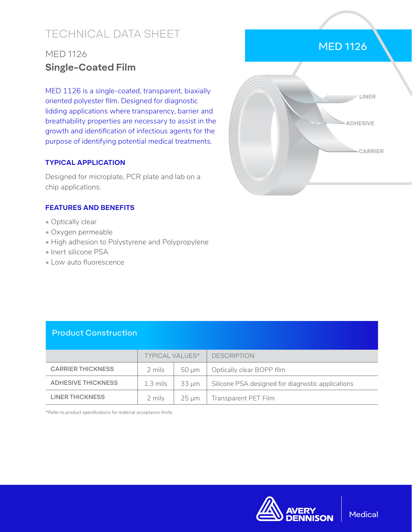# TECHNICAL DATA SHEET

# MED 1126 **Single-Coated Film**

MED 1126 is a single-coated, transparent, biaxially oriented polyester film. Designed for diagnostic lidding applications where transparency, barrier and breathability properties are necessary to assist in the growth and identification of infectious agents for the purpose of identifying potential medical treatments.

#### **TYPICAL APPLICATION**

Designed for microplate, PCR plate and lab on a chip applications.

#### **FEATURES AND BENEFITS**

- Optically clear
- Oxygen permeable
- High adhesion to Polystyrene and Polypropylene
- Inert silicone PSA
- Low auto fluorescence



MED 1126

### Product Construction

|                          | TYPICAL VALUES*     |                 | <b>DESCRIPTION</b>                                |
|--------------------------|---------------------|-----------------|---------------------------------------------------|
| <b>CARRIER THICKNESS</b> | 2 mils              | $50 \mu m$      | Optically clear BOPP film                         |
| ADHESIVE THICKNESS       | $1.3 \text{ miles}$ | 33 um           | Silicone PSA designed for diagnostic applications |
| LINER THICKNESS          | 2 mils              | $25 \text{ µm}$ | Transparent PET Film                              |

\*Refer to product specifications for material acceptance limits.